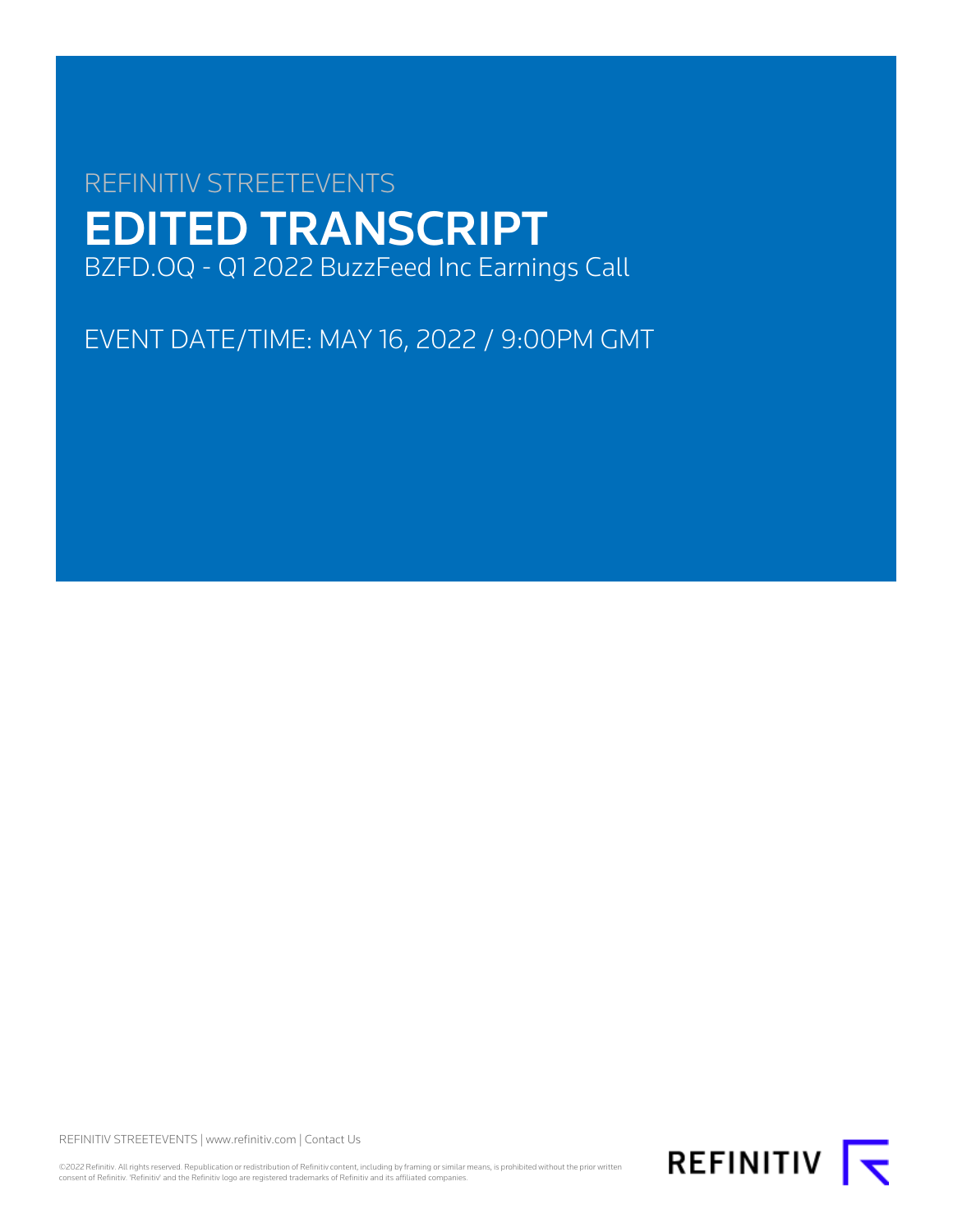# REFINITIV STREETEVENTS EDITED TRANSCRIPT BZFD.OQ - Q1 2022 BuzzFeed Inc Earnings Call

EVENT DATE/TIME: MAY 16, 2022 / 9:00PM GMT

REFINITIV STREETEVENTS | [www.refinitiv.com](https://www.refinitiv.com/) | [Contact Us](https://www.refinitiv.com/en/contact-us)

©2022 Refinitiv. All rights reserved. Republication or redistribution of Refinitiv content, including by framing or similar means, is prohibited without the prior written<br>consent of Refinitiv. 'Refinitiv' and the Refinitiv

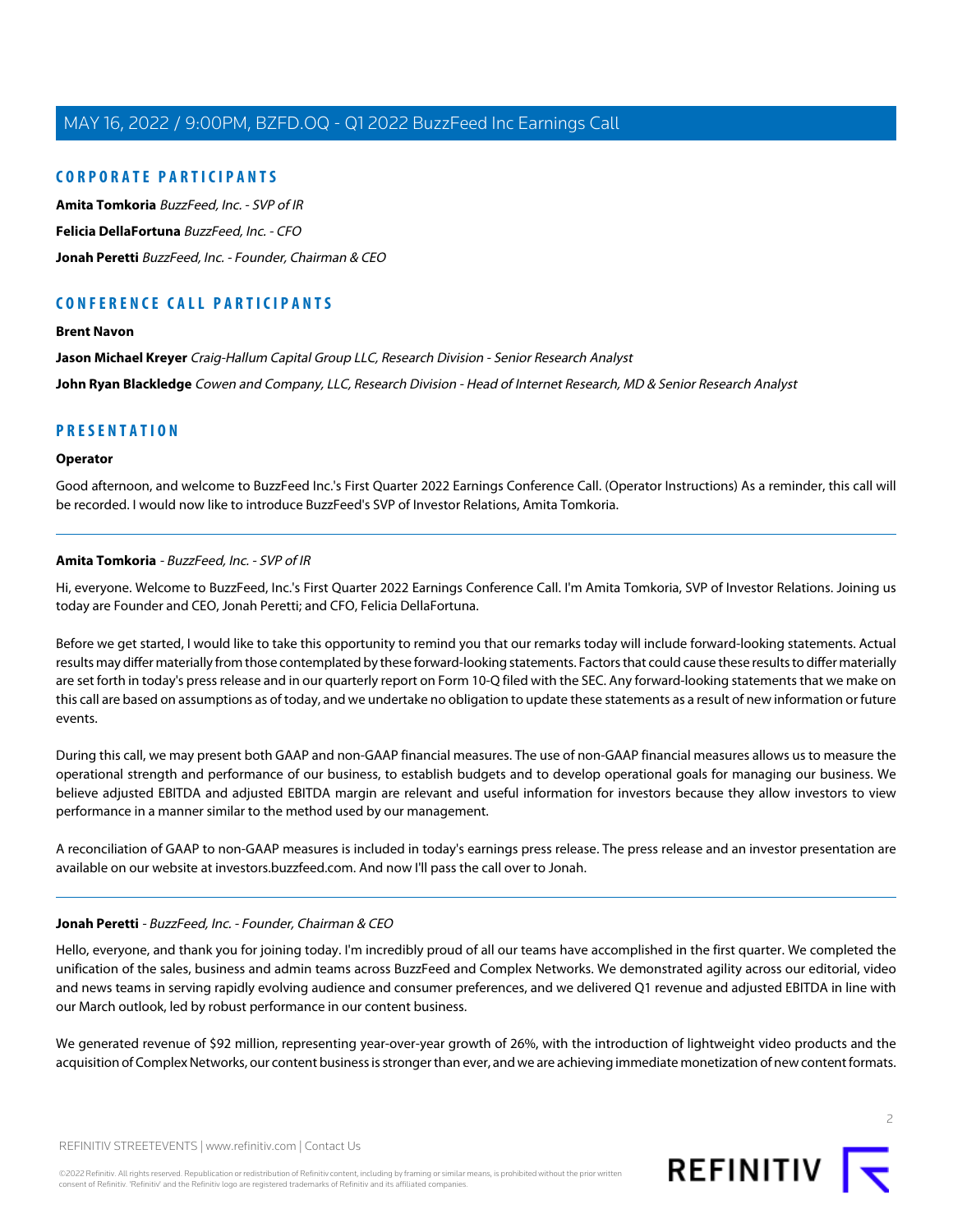# **CORPORATE PARTICIPANTS**

**[Amita Tomkoria](#page-1-0)** BuzzFeed, Inc. - SVP of IR **[Felicia DellaFortuna](#page-4-0)** BuzzFeed, Inc. - CFO **[Jonah Peretti](#page-1-1)** BuzzFeed, Inc. - Founder, Chairman & CEO

# **CONFERENCE CALL PARTICIPANTS**

#### **[Brent Navon](#page-9-0)**

**[Jason Michael Kreyer](#page-7-0)** Craig-Hallum Capital Group LLC, Research Division - Senior Research Analyst **[John Ryan Blackledge](#page-7-1)** Cowen and Company, LLC, Research Division - Head of Internet Research, MD & Senior Research Analyst

# **PRESENTATION**

#### **Operator**

<span id="page-1-0"></span>Good afternoon, and welcome to BuzzFeed Inc.'s First Quarter 2022 Earnings Conference Call. (Operator Instructions) As a reminder, this call will be recorded. I would now like to introduce BuzzFeed's SVP of Investor Relations, Amita Tomkoria.

### **Amita Tomkoria** - BuzzFeed, Inc. - SVP of IR

Hi, everyone. Welcome to BuzzFeed, Inc.'s First Quarter 2022 Earnings Conference Call. I'm Amita Tomkoria, SVP of Investor Relations. Joining us today are Founder and CEO, Jonah Peretti; and CFO, Felicia DellaFortuna.

Before we get started, I would like to take this opportunity to remind you that our remarks today will include forward-looking statements. Actual results may differ materially from those contemplated by these forward-looking statements. Factors that could cause these results to differ materially are set forth in today's press release and in our quarterly report on Form 10-Q filed with the SEC. Any forward-looking statements that we make on this call are based on assumptions as of today, and we undertake no obligation to update these statements as a result of new information or future events.

During this call, we may present both GAAP and non-GAAP financial measures. The use of non-GAAP financial measures allows us to measure the operational strength and performance of our business, to establish budgets and to develop operational goals for managing our business. We believe adjusted EBITDA and adjusted EBITDA margin are relevant and useful information for investors because they allow investors to view performance in a manner similar to the method used by our management.

<span id="page-1-1"></span>A reconciliation of GAAP to non-GAAP measures is included in today's earnings press release. The press release and an investor presentation are available on our website at investors.buzzfeed.com. And now I'll pass the call over to Jonah.

#### **Jonah Peretti** - BuzzFeed, Inc. - Founder, Chairman & CEO

Hello, everyone, and thank you for joining today. I'm incredibly proud of all our teams have accomplished in the first quarter. We completed the unification of the sales, business and admin teams across BuzzFeed and Complex Networks. We demonstrated agility across our editorial, video and news teams in serving rapidly evolving audience and consumer preferences, and we delivered Q1 revenue and adjusted EBITDA in line with our March outlook, led by robust performance in our content business.

We generated revenue of \$92 million, representing year-over-year growth of 26%, with the introduction of lightweight video products and the acquisition of Complex Networks, our content business is stronger than ever, and we are achieving immediate monetization of new content formats.

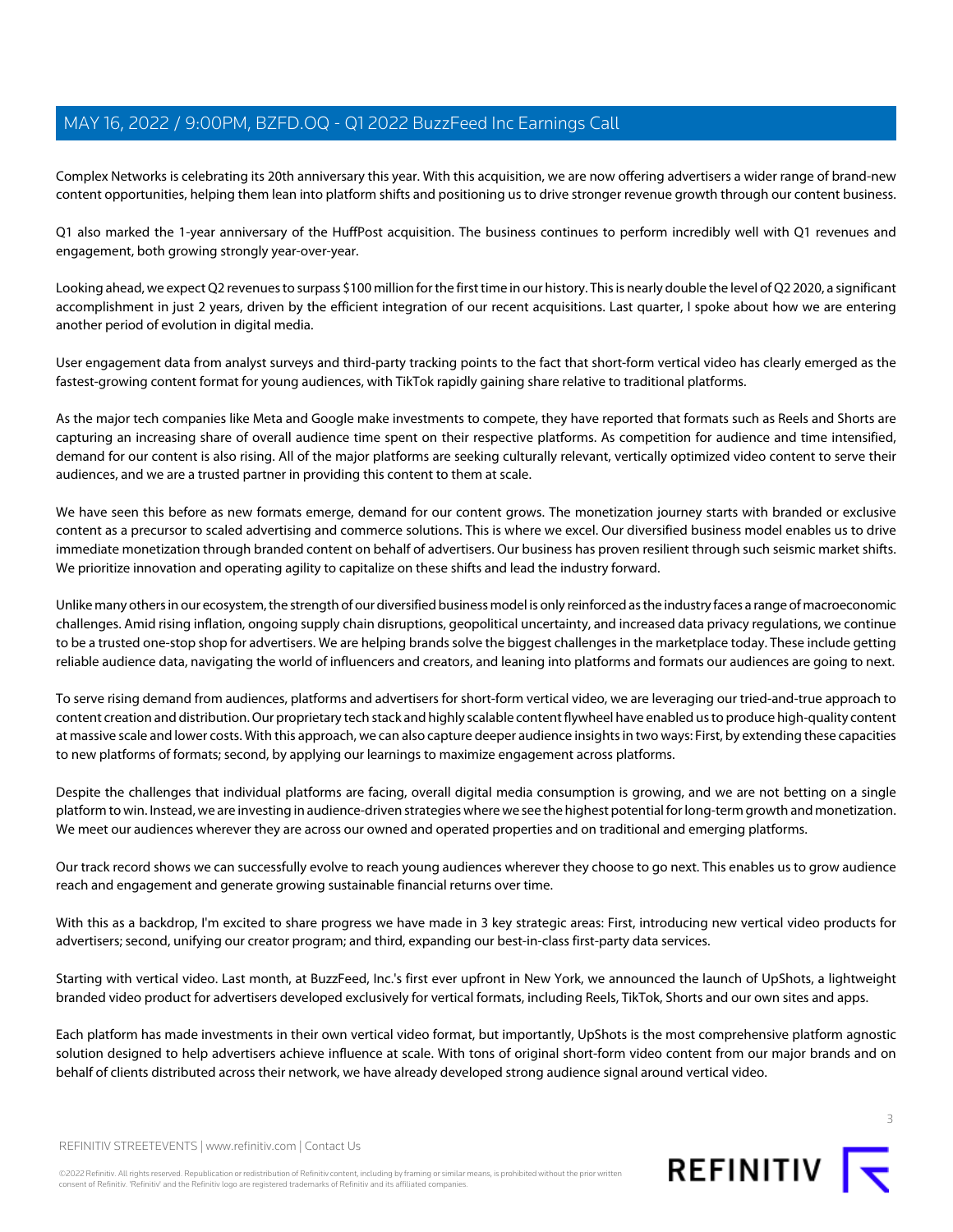Complex Networks is celebrating its 20th anniversary this year. With this acquisition, we are now offering advertisers a wider range of brand-new content opportunities, helping them lean into platform shifts and positioning us to drive stronger revenue growth through our content business.

Q1 also marked the 1-year anniversary of the HuffPost acquisition. The business continues to perform incredibly well with Q1 revenues and engagement, both growing strongly year-over-year.

Looking ahead, we expect Q2 revenues to surpass \$100 million for the first time in our history. This is nearly double the level of Q2 2020, a significant accomplishment in just 2 years, driven by the efficient integration of our recent acquisitions. Last quarter, I spoke about how we are entering another period of evolution in digital media.

User engagement data from analyst surveys and third-party tracking points to the fact that short-form vertical video has clearly emerged as the fastest-growing content format for young audiences, with TikTok rapidly gaining share relative to traditional platforms.

As the major tech companies like Meta and Google make investments to compete, they have reported that formats such as Reels and Shorts are capturing an increasing share of overall audience time spent on their respective platforms. As competition for audience and time intensified, demand for our content is also rising. All of the major platforms are seeking culturally relevant, vertically optimized video content to serve their audiences, and we are a trusted partner in providing this content to them at scale.

We have seen this before as new formats emerge, demand for our content grows. The monetization journey starts with branded or exclusive content as a precursor to scaled advertising and commerce solutions. This is where we excel. Our diversified business model enables us to drive immediate monetization through branded content on behalf of advertisers. Our business has proven resilient through such seismic market shifts. We prioritize innovation and operating agility to capitalize on these shifts and lead the industry forward.

Unlike many others in our ecosystem, the strength of our diversified business model is only reinforced as the industry faces a range of macroeconomic challenges. Amid rising inflation, ongoing supply chain disruptions, geopolitical uncertainty, and increased data privacy regulations, we continue to be a trusted one-stop shop for advertisers. We are helping brands solve the biggest challenges in the marketplace today. These include getting reliable audience data, navigating the world of influencers and creators, and leaning into platforms and formats our audiences are going to next.

To serve rising demand from audiences, platforms and advertisers for short-form vertical video, we are leveraging our tried-and-true approach to content creation and distribution. Our proprietary tech stack and highly scalable content flywheel have enabled us to produce high-quality content at massive scale and lower costs. With this approach, we can also capture deeper audience insights in two ways: First, by extending these capacities to new platforms of formats; second, by applying our learnings to maximize engagement across platforms.

Despite the challenges that individual platforms are facing, overall digital media consumption is growing, and we are not betting on a single platform to win. Instead, we are investing in audience-driven strategies where we see the highest potential for long-term growth and monetization. We meet our audiences wherever they are across our owned and operated properties and on traditional and emerging platforms.

Our track record shows we can successfully evolve to reach young audiences wherever they choose to go next. This enables us to grow audience reach and engagement and generate growing sustainable financial returns over time.

With this as a backdrop, I'm excited to share progress we have made in 3 key strategic areas: First, introducing new vertical video products for advertisers; second, unifying our creator program; and third, expanding our best-in-class first-party data services.

Starting with vertical video. Last month, at BuzzFeed, Inc.'s first ever upfront in New York, we announced the launch of UpShots, a lightweight branded video product for advertisers developed exclusively for vertical formats, including Reels, TikTok, Shorts and our own sites and apps.

Each platform has made investments in their own vertical video format, but importantly, UpShots is the most comprehensive platform agnostic solution designed to help advertisers achieve influence at scale. With tons of original short-form video content from our major brands and on behalf of clients distributed across their network, we have already developed strong audience signal around vertical video.

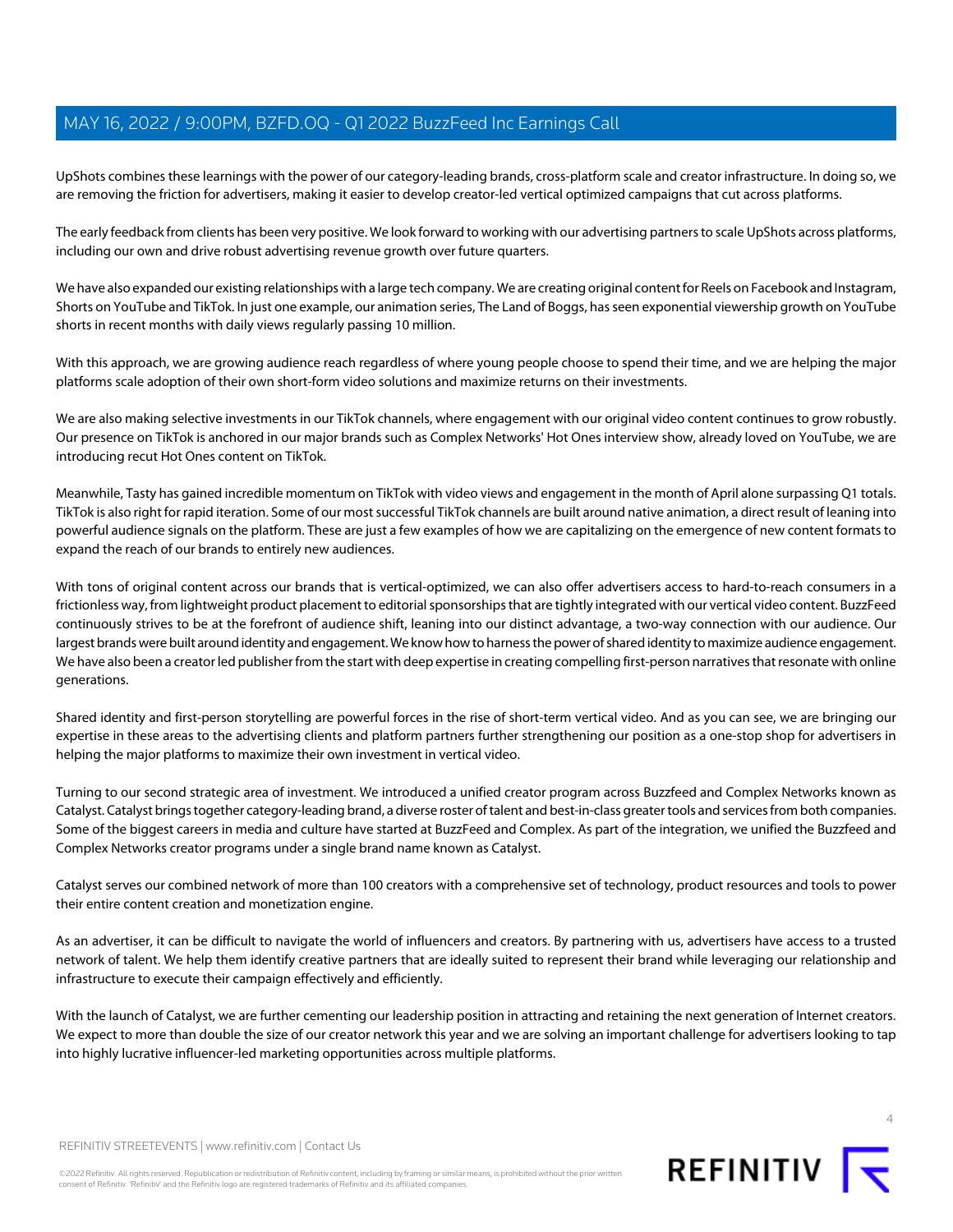UpShots combines these learnings with the power of our category-leading brands, cross-platform scale and creator infrastructure. In doing so, we are removing the friction for advertisers, making it easier to develop creator-led vertical optimized campaigns that cut across platforms.

The early feedback from clients has been very positive. We look forward to working with our advertising partners to scale UpShots across platforms, including our own and drive robust advertising revenue growth over future quarters.

We have also expanded our existing relationships with a large tech company. We are creating original content for Reels on Facebook and Instagram, Shorts on YouTube and TikTok. In just one example, our animation series, The Land of Boggs, has seen exponential viewership growth on YouTube shorts in recent months with daily views regularly passing 10 million.

With this approach, we are growing audience reach regardless of where young people choose to spend their time, and we are helping the major platforms scale adoption of their own short-form video solutions and maximize returns on their investments.

We are also making selective investments in our TikTok channels, where engagement with our original video content continues to grow robustly. Our presence on TikTok is anchored in our major brands such as Complex Networks' Hot Ones interview show, already loved on YouTube, we are introducing recut Hot Ones content on TikTok.

Meanwhile, Tasty has gained incredible momentum on TikTok with video views and engagement in the month of April alone surpassing Q1 totals. TikTok is also right for rapid iteration. Some of our most successful TikTok channels are built around native animation, a direct result of leaning into powerful audience signals on the platform. These are just a few examples of how we are capitalizing on the emergence of new content formats to expand the reach of our brands to entirely new audiences.

With tons of original content across our brands that is vertical-optimized, we can also offer advertisers access to hard-to-reach consumers in a frictionless way, from lightweight product placement to editorial sponsorships that are tightly integrated with our vertical video content. BuzzFeed continuously strives to be at the forefront of audience shift, leaning into our distinct advantage, a two-way connection with our audience. Our largest brands were built around identity and engagement. We know how to harness the power of shared identity to maximize audience engagement. We have also been a creator led publisher from the start with deep expertise in creating compelling first-person narratives that resonate with online generations.

Shared identity and first-person storytelling are powerful forces in the rise of short-term vertical video. And as you can see, we are bringing our expertise in these areas to the advertising clients and platform partners further strengthening our position as a one-stop shop for advertisers in helping the major platforms to maximize their own investment in vertical video.

Turning to our second strategic area of investment. We introduced a unified creator program across Buzzfeed and Complex Networks known as Catalyst. Catalyst brings together category-leading brand, a diverse roster of talent and best-in-class greater tools and services from both companies. Some of the biggest careers in media and culture have started at BuzzFeed and Complex. As part of the integration, we unified the Buzzfeed and Complex Networks creator programs under a single brand name known as Catalyst.

Catalyst serves our combined network of more than 100 creators with a comprehensive set of technology, product resources and tools to power their entire content creation and monetization engine.

As an advertiser, it can be difficult to navigate the world of influencers and creators. By partnering with us, advertisers have access to a trusted network of talent. We help them identify creative partners that are ideally suited to represent their brand while leveraging our relationship and infrastructure to execute their campaign effectively and efficiently.

With the launch of Catalyst, we are further cementing our leadership position in attracting and retaining the next generation of Internet creators. We expect to more than double the size of our creator network this year and we are solving an important challenge for advertisers looking to tap into highly lucrative influencer-led marketing opportunities across multiple platforms.

©2022 Refinitiv. All rights reserved. Republication or redistribution of Refinitiv content, including by framing or similar means, is prohibited without the prior written consent of Refinitiv. 'Refinitiv' and the Refinitiv logo are registered trademarks of Refinitiv and its affiliated companies.

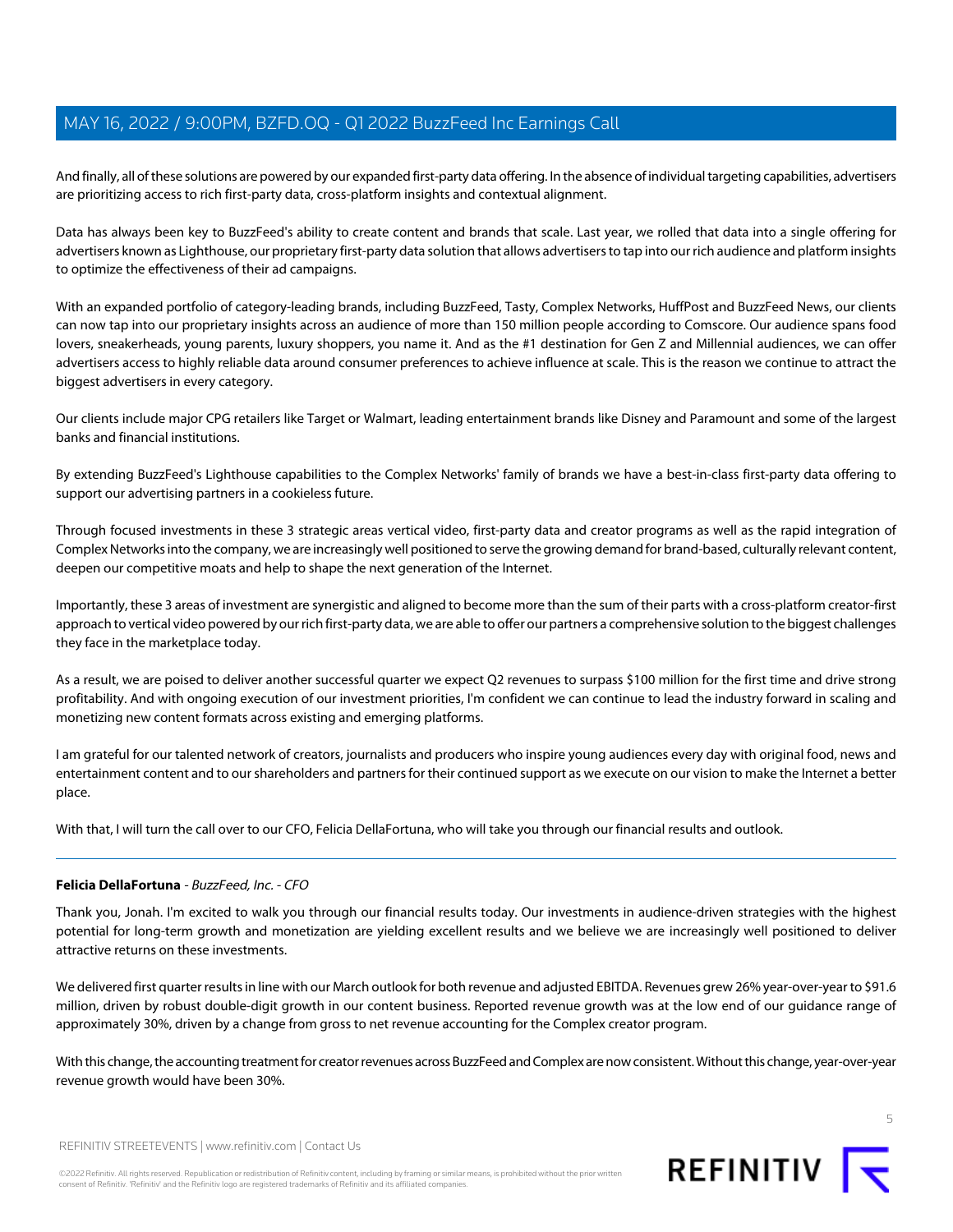And finally, all of these solutions are powered by our expanded first-party data offering. In the absence of individual targeting capabilities, advertisers are prioritizing access to rich first-party data, cross-platform insights and contextual alignment.

Data has always been key to BuzzFeed's ability to create content and brands that scale. Last year, we rolled that data into a single offering for advertisers known as Lighthouse, our proprietary first-party data solution that allows advertisers to tap into our rich audience and platform insights to optimize the effectiveness of their ad campaigns.

With an expanded portfolio of category-leading brands, including BuzzFeed, Tasty, Complex Networks, HuffPost and BuzzFeed News, our clients can now tap into our proprietary insights across an audience of more than 150 million people according to Comscore. Our audience spans food lovers, sneakerheads, young parents, luxury shoppers, you name it. And as the #1 destination for Gen Z and Millennial audiences, we can offer advertisers access to highly reliable data around consumer preferences to achieve influence at scale. This is the reason we continue to attract the biggest advertisers in every category.

Our clients include major CPG retailers like Target or Walmart, leading entertainment brands like Disney and Paramount and some of the largest banks and financial institutions.

By extending BuzzFeed's Lighthouse capabilities to the Complex Networks' family of brands we have a best-in-class first-party data offering to support our advertising partners in a cookieless future.

Through focused investments in these 3 strategic areas vertical video, first-party data and creator programs as well as the rapid integration of Complex Networks into the company, we are increasingly well positioned to serve the growing demand for brand-based, culturally relevant content, deepen our competitive moats and help to shape the next generation of the Internet.

Importantly, these 3 areas of investment are synergistic and aligned to become more than the sum of their parts with a cross-platform creator-first approach to vertical video powered by our rich first-party data, we are able to offer our partners a comprehensive solution to the biggest challenges they face in the marketplace today.

As a result, we are poised to deliver another successful quarter we expect Q2 revenues to surpass \$100 million for the first time and drive strong profitability. And with ongoing execution of our investment priorities, I'm confident we can continue to lead the industry forward in scaling and monetizing new content formats across existing and emerging platforms.

I am grateful for our talented network of creators, journalists and producers who inspire young audiences every day with original food, news and entertainment content and to our shareholders and partners for their continued support as we execute on our vision to make the Internet a better place.

<span id="page-4-0"></span>With that, I will turn the call over to our CFO, Felicia DellaFortuna, who will take you through our financial results and outlook.

# **Felicia DellaFortuna** - BuzzFeed, Inc. - CFO

Thank you, Jonah. I'm excited to walk you through our financial results today. Our investments in audience-driven strategies with the highest potential for long-term growth and monetization are yielding excellent results and we believe we are increasingly well positioned to deliver attractive returns on these investments.

We delivered first quarter results in line with our March outlook for both revenue and adjusted EBITDA. Revenues grew 26% year-over-year to \$91.6 million, driven by robust double-digit growth in our content business. Reported revenue growth was at the low end of our guidance range of approximately 30%, driven by a change from gross to net revenue accounting for the Complex creator program.

With this change, the accounting treatment for creator revenues across BuzzFeed and Complex are now consistent. Without this change, year-over-year revenue growth would have been 30%.

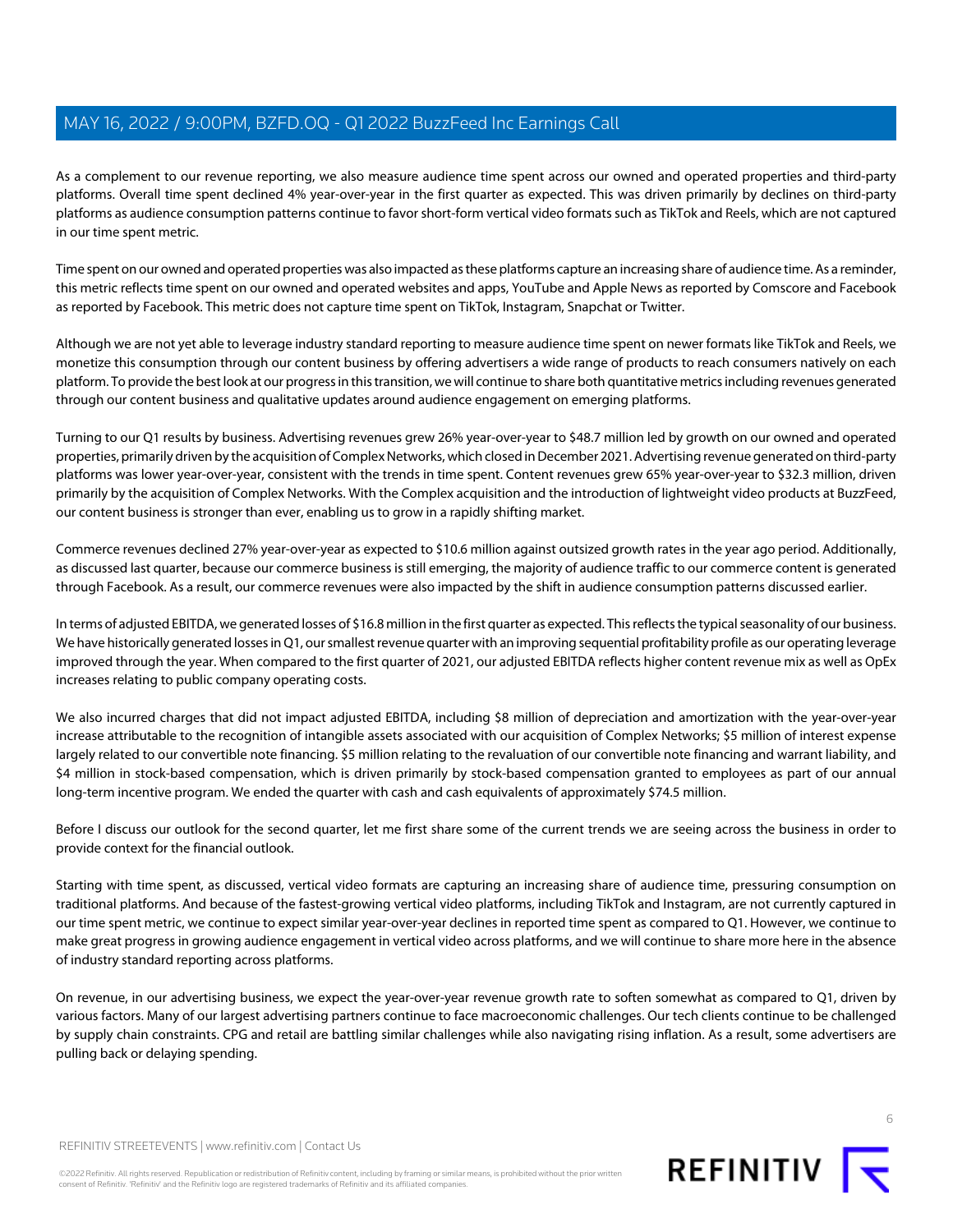As a complement to our revenue reporting, we also measure audience time spent across our owned and operated properties and third-party platforms. Overall time spent declined 4% year-over-year in the first quarter as expected. This was driven primarily by declines on third-party platforms as audience consumption patterns continue to favor short-form vertical video formats such as TikTok and Reels, which are not captured in our time spent metric.

Time spent on our owned and operated properties was also impacted as these platforms capture an increasing share of audience time. As a reminder, this metric reflects time spent on our owned and operated websites and apps, YouTube and Apple News as reported by Comscore and Facebook as reported by Facebook. This metric does not capture time spent on TikTok, Instagram, Snapchat or Twitter.

Although we are not yet able to leverage industry standard reporting to measure audience time spent on newer formats like TikTok and Reels, we monetize this consumption through our content business by offering advertisers a wide range of products to reach consumers natively on each platform. To provide the best look at our progress in this transition, we will continue to share both quantitative metrics including revenues generated through our content business and qualitative updates around audience engagement on emerging platforms.

Turning to our Q1 results by business. Advertising revenues grew 26% year-over-year to \$48.7 million led by growth on our owned and operated properties, primarily driven by the acquisition of Complex Networks, which closed in December 2021. Advertising revenue generated on third-party platforms was lower year-over-year, consistent with the trends in time spent. Content revenues grew 65% year-over-year to \$32.3 million, driven primarily by the acquisition of Complex Networks. With the Complex acquisition and the introduction of lightweight video products at BuzzFeed, our content business is stronger than ever, enabling us to grow in a rapidly shifting market.

Commerce revenues declined 27% year-over-year as expected to \$10.6 million against outsized growth rates in the year ago period. Additionally, as discussed last quarter, because our commerce business is still emerging, the majority of audience traffic to our commerce content is generated through Facebook. As a result, our commerce revenues were also impacted by the shift in audience consumption patterns discussed earlier.

In terms of adjusted EBITDA, we generated losses of \$16.8 million in the first quarter as expected. This reflects the typical seasonality of our business. We have historically generated losses in Q1, our smallest revenue quarter with an improving sequential profitability profile as our operating leverage improved through the year. When compared to the first quarter of 2021, our adjusted EBITDA reflects higher content revenue mix as well as OpEx increases relating to public company operating costs.

We also incurred charges that did not impact adjusted EBITDA, including \$8 million of depreciation and amortization with the year-over-year increase attributable to the recognition of intangible assets associated with our acquisition of Complex Networks; \$5 million of interest expense largely related to our convertible note financing. \$5 million relating to the revaluation of our convertible note financing and warrant liability, and \$4 million in stock-based compensation, which is driven primarily by stock-based compensation granted to employees as part of our annual long-term incentive program. We ended the quarter with cash and cash equivalents of approximately \$74.5 million.

Before I discuss our outlook for the second quarter, let me first share some of the current trends we are seeing across the business in order to provide context for the financial outlook.

Starting with time spent, as discussed, vertical video formats are capturing an increasing share of audience time, pressuring consumption on traditional platforms. And because of the fastest-growing vertical video platforms, including TikTok and Instagram, are not currently captured in our time spent metric, we continue to expect similar year-over-year declines in reported time spent as compared to Q1. However, we continue to make great progress in growing audience engagement in vertical video across platforms, and we will continue to share more here in the absence of industry standard reporting across platforms.

On revenue, in our advertising business, we expect the year-over-year revenue growth rate to soften somewhat as compared to Q1, driven by various factors. Many of our largest advertising partners continue to face macroeconomic challenges. Our tech clients continue to be challenged by supply chain constraints. CPG and retail are battling similar challenges while also navigating rising inflation. As a result, some advertisers are pulling back or delaying spending.

REFINITIV STREETEVENTS | [www.refinitiv.com](https://www.refinitiv.com/) | [Contact Us](https://www.refinitiv.com/en/contact-us)

©2022 Refinitiv. All rights reserved. Republication or redistribution of Refinitiv content, including by framing or similar means, is prohibited without the prior written consent of Refinitiv. 'Refinitiv' and the Refinitiv logo are registered trademarks of Refinitiv and its affiliated companies.

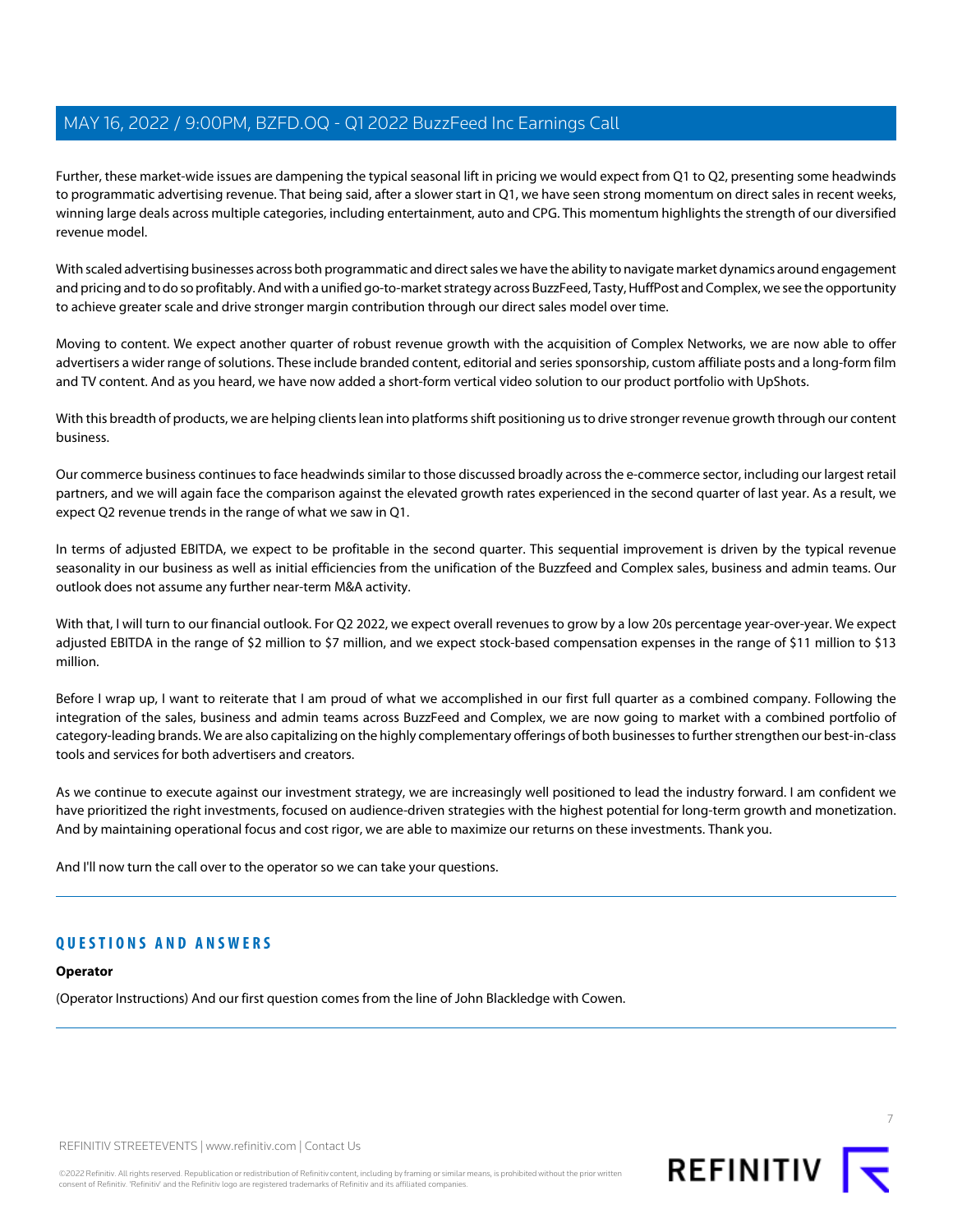Further, these market-wide issues are dampening the typical seasonal lift in pricing we would expect from Q1 to Q2, presenting some headwinds to programmatic advertising revenue. That being said, after a slower start in Q1, we have seen strong momentum on direct sales in recent weeks, winning large deals across multiple categories, including entertainment, auto and CPG. This momentum highlights the strength of our diversified revenue model.

With scaled advertising businesses across both programmatic and direct sales we have the ability to navigate market dynamics around engagement and pricing and to do so profitably. And with a unified go-to-market strategy across BuzzFeed, Tasty, HuffPost and Complex, we see the opportunity to achieve greater scale and drive stronger margin contribution through our direct sales model over time.

Moving to content. We expect another quarter of robust revenue growth with the acquisition of Complex Networks, we are now able to offer advertisers a wider range of solutions. These include branded content, editorial and series sponsorship, custom affiliate posts and a long-form film and TV content. And as you heard, we have now added a short-form vertical video solution to our product portfolio with UpShots.

With this breadth of products, we are helping clients lean into platforms shift positioning us to drive stronger revenue growth through our content business.

Our commerce business continues to face headwinds similar to those discussed broadly across the e-commerce sector, including our largest retail partners, and we will again face the comparison against the elevated growth rates experienced in the second quarter of last year. As a result, we expect Q2 revenue trends in the range of what we saw in Q1.

In terms of adjusted EBITDA, we expect to be profitable in the second quarter. This sequential improvement is driven by the typical revenue seasonality in our business as well as initial efficiencies from the unification of the Buzzfeed and Complex sales, business and admin teams. Our outlook does not assume any further near-term M&A activity.

With that, I will turn to our financial outlook. For Q2 2022, we expect overall revenues to grow by a low 20s percentage year-over-year. We expect adjusted EBITDA in the range of \$2 million to \$7 million, and we expect stock-based compensation expenses in the range of \$11 million to \$13 million.

Before I wrap up, I want to reiterate that I am proud of what we accomplished in our first full quarter as a combined company. Following the integration of the sales, business and admin teams across BuzzFeed and Complex, we are now going to market with a combined portfolio of category-leading brands. We are also capitalizing on the highly complementary offerings of both businesses to further strengthen our best-in-class tools and services for both advertisers and creators.

As we continue to execute against our investment strategy, we are increasingly well positioned to lead the industry forward. I am confident we have prioritized the right investments, focused on audience-driven strategies with the highest potential for long-term growth and monetization. And by maintaining operational focus and cost rigor, we are able to maximize our returns on these investments. Thank you.

And I'll now turn the call over to the operator so we can take your questions.

# **QUESTIONS AND ANSWERS**

# **Operator**

(Operator Instructions) And our first question comes from the line of John Blackledge with Cowen.

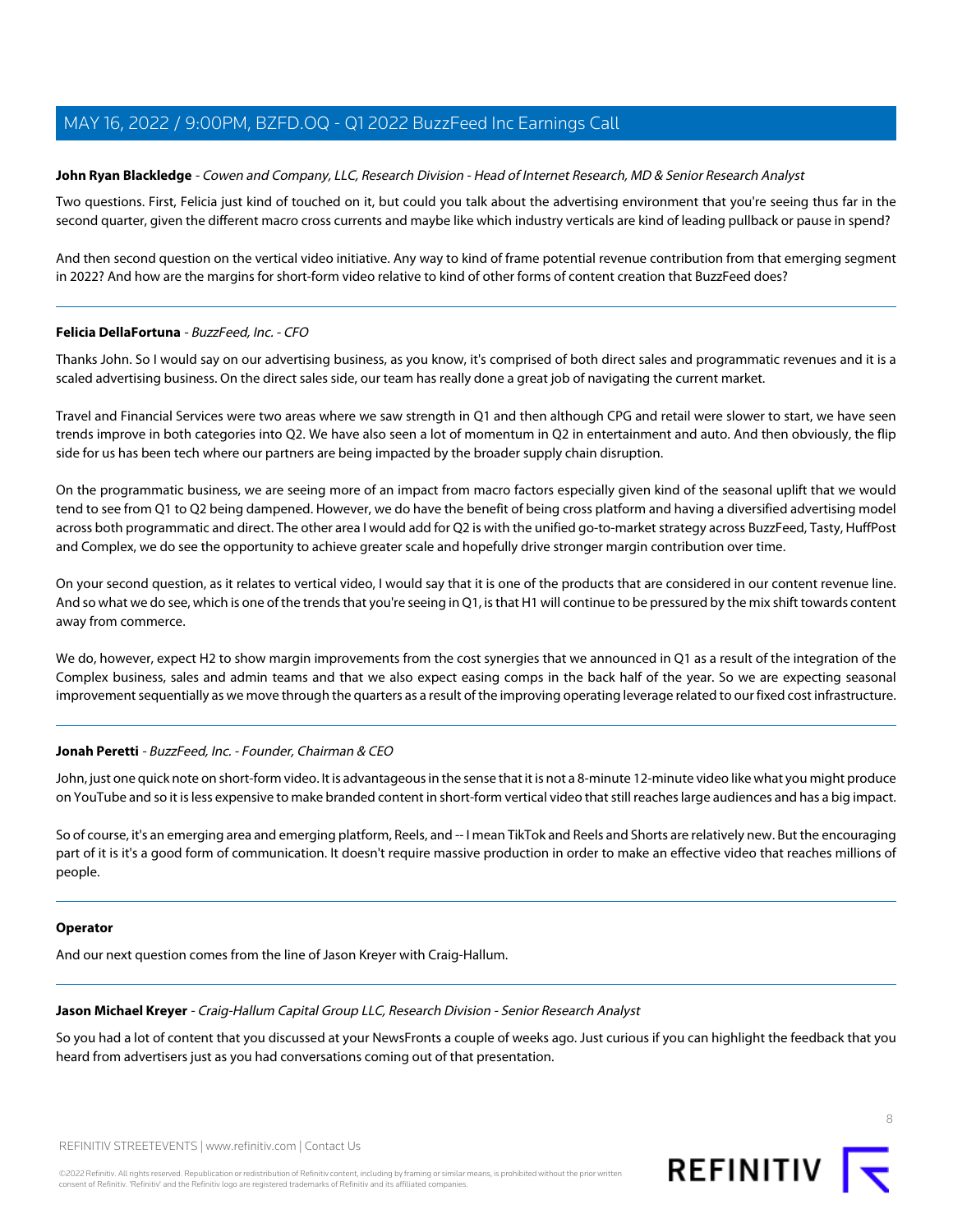# <span id="page-7-1"></span>**John Ryan Blackledge** - Cowen and Company, LLC, Research Division - Head of Internet Research, MD & Senior Research Analyst

Two questions. First, Felicia just kind of touched on it, but could you talk about the advertising environment that you're seeing thus far in the second quarter, given the different macro cross currents and maybe like which industry verticals are kind of leading pullback or pause in spend?

And then second question on the vertical video initiative. Any way to kind of frame potential revenue contribution from that emerging segment in 2022? And how are the margins for short-form video relative to kind of other forms of content creation that BuzzFeed does?

#### **Felicia DellaFortuna** - BuzzFeed, Inc. - CFO

Thanks John. So I would say on our advertising business, as you know, it's comprised of both direct sales and programmatic revenues and it is a scaled advertising business. On the direct sales side, our team has really done a great job of navigating the current market.

Travel and Financial Services were two areas where we saw strength in Q1 and then although CPG and retail were slower to start, we have seen trends improve in both categories into Q2. We have also seen a lot of momentum in Q2 in entertainment and auto. And then obviously, the flip side for us has been tech where our partners are being impacted by the broader supply chain disruption.

On the programmatic business, we are seeing more of an impact from macro factors especially given kind of the seasonal uplift that we would tend to see from Q1 to Q2 being dampened. However, we do have the benefit of being cross platform and having a diversified advertising model across both programmatic and direct. The other area I would add for Q2 is with the unified go-to-market strategy across BuzzFeed, Tasty, HuffPost and Complex, we do see the opportunity to achieve greater scale and hopefully drive stronger margin contribution over time.

On your second question, as it relates to vertical video, I would say that it is one of the products that are considered in our content revenue line. And so what we do see, which is one of the trends that you're seeing in Q1, is that H1 will continue to be pressured by the mix shift towards content away from commerce.

We do, however, expect H2 to show margin improvements from the cost synergies that we announced in Q1 as a result of the integration of the Complex business, sales and admin teams and that we also expect easing comps in the back half of the year. So we are expecting seasonal improvement sequentially as we move through the quarters as a result of the improving operating leverage related to our fixed cost infrastructure.

#### **Jonah Peretti** - BuzzFeed, Inc. - Founder, Chairman & CEO

John, just one quick note on short-form video. It is advantageous in the sense that it is not a 8-minute 12-minute video like what you might produce on YouTube and so it is less expensive to make branded content in short-form vertical video that still reaches large audiences and has a big impact.

So of course, it's an emerging area and emerging platform, Reels, and -- I mean TikTok and Reels and Shorts are relatively new. But the encouraging part of it is it's a good form of communication. It doesn't require massive production in order to make an effective video that reaches millions of people.

#### <span id="page-7-0"></span>**Operator**

And our next question comes from the line of Jason Kreyer with Craig-Hallum.

### **Jason Michael Kreyer** - Craig-Hallum Capital Group LLC, Research Division - Senior Research Analyst

So you had a lot of content that you discussed at your NewsFronts a couple of weeks ago. Just curious if you can highlight the feedback that you heard from advertisers just as you had conversations coming out of that presentation.

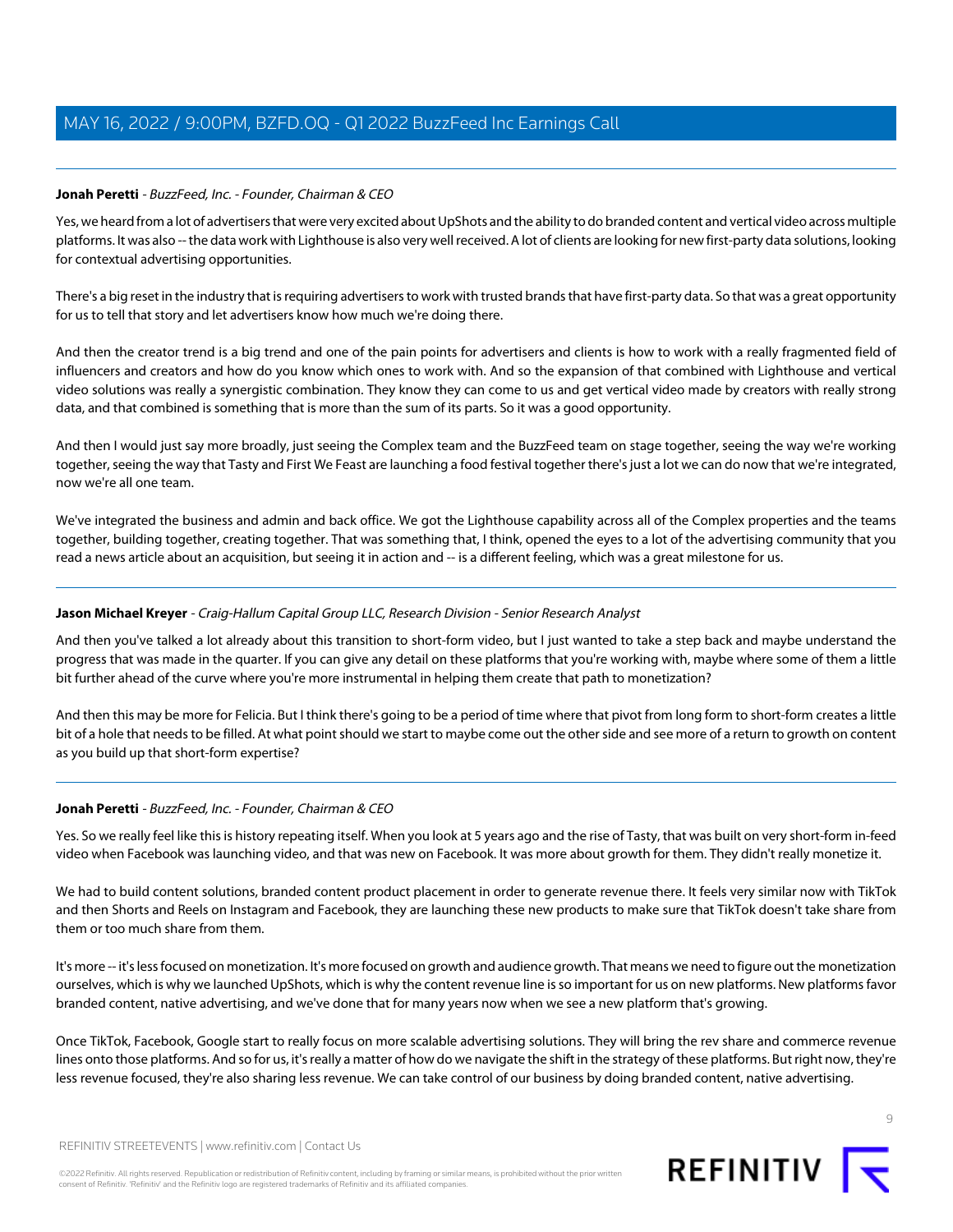# **Jonah Peretti** - BuzzFeed, Inc. - Founder, Chairman & CEO

Yes, we heard from a lot of advertisers that were very excited about UpShots and the ability to do branded content and vertical video across multiple platforms. It was also -- the data work with Lighthouse is also very well received. A lot of clients are looking for new first-party data solutions, looking for contextual advertising opportunities.

There's a big reset in the industry that is requiring advertisers to work with trusted brands that have first-party data. So that was a great opportunity for us to tell that story and let advertisers know how much we're doing there.

And then the creator trend is a big trend and one of the pain points for advertisers and clients is how to work with a really fragmented field of influencers and creators and how do you know which ones to work with. And so the expansion of that combined with Lighthouse and vertical video solutions was really a synergistic combination. They know they can come to us and get vertical video made by creators with really strong data, and that combined is something that is more than the sum of its parts. So it was a good opportunity.

And then I would just say more broadly, just seeing the Complex team and the BuzzFeed team on stage together, seeing the way we're working together, seeing the way that Tasty and First We Feast are launching a food festival together there's just a lot we can do now that we're integrated, now we're all one team.

We've integrated the business and admin and back office. We got the Lighthouse capability across all of the Complex properties and the teams together, building together, creating together. That was something that, I think, opened the eyes to a lot of the advertising community that you read a news article about an acquisition, but seeing it in action and -- is a different feeling, which was a great milestone for us.

# **Jason Michael Kreyer** - Craig-Hallum Capital Group LLC, Research Division - Senior Research Analyst

And then you've talked a lot already about this transition to short-form video, but I just wanted to take a step back and maybe understand the progress that was made in the quarter. If you can give any detail on these platforms that you're working with, maybe where some of them a little bit further ahead of the curve where you're more instrumental in helping them create that path to monetization?

And then this may be more for Felicia. But I think there's going to be a period of time where that pivot from long form to short-form creates a little bit of a hole that needs to be filled. At what point should we start to maybe come out the other side and see more of a return to growth on content as you build up that short-form expertise?

# **Jonah Peretti** - BuzzFeed, Inc. - Founder, Chairman & CEO

Yes. So we really feel like this is history repeating itself. When you look at 5 years ago and the rise of Tasty, that was built on very short-form in-feed video when Facebook was launching video, and that was new on Facebook. It was more about growth for them. They didn't really monetize it.

We had to build content solutions, branded content product placement in order to generate revenue there. It feels very similar now with TikTok and then Shorts and Reels on Instagram and Facebook, they are launching these new products to make sure that TikTok doesn't take share from them or too much share from them.

It's more -- it's less focused on monetization. It's more focused on growth and audience growth. That means we need to figure out the monetization ourselves, which is why we launched UpShots, which is why the content revenue line is so important for us on new platforms. New platforms favor branded content, native advertising, and we've done that for many years now when we see a new platform that's growing.

Once TikTok, Facebook, Google start to really focus on more scalable advertising solutions. They will bring the rev share and commerce revenue lines onto those platforms. And so for us, it's really a matter of how do we navigate the shift in the strategy of these platforms. But right now, they're less revenue focused, they're also sharing less revenue. We can take control of our business by doing branded content, native advertising.

 $\circ$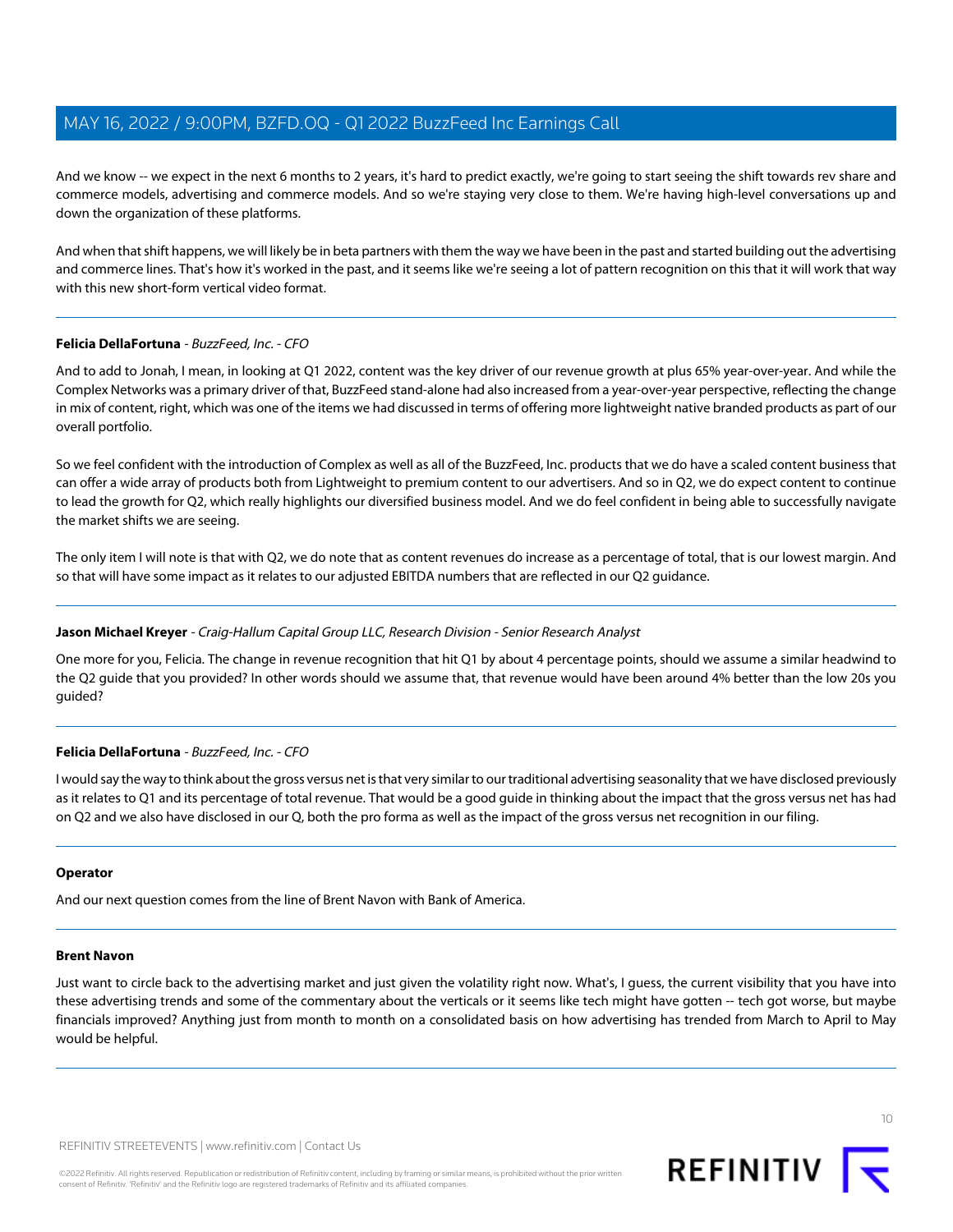And we know -- we expect in the next 6 months to 2 years, it's hard to predict exactly, we're going to start seeing the shift towards rev share and commerce models, advertising and commerce models. And so we're staying very close to them. We're having high-level conversations up and down the organization of these platforms.

And when that shift happens, we will likely be in beta partners with them the way we have been in the past and started building out the advertising and commerce lines. That's how it's worked in the past, and it seems like we're seeing a lot of pattern recognition on this that it will work that way with this new short-form vertical video format.

# **Felicia DellaFortuna** - BuzzFeed, Inc. - CFO

And to add to Jonah, I mean, in looking at Q1 2022, content was the key driver of our revenue growth at plus 65% year-over-year. And while the Complex Networks was a primary driver of that, BuzzFeed stand-alone had also increased from a year-over-year perspective, reflecting the change in mix of content, right, which was one of the items we had discussed in terms of offering more lightweight native branded products as part of our overall portfolio.

So we feel confident with the introduction of Complex as well as all of the BuzzFeed, Inc. products that we do have a scaled content business that can offer a wide array of products both from Lightweight to premium content to our advertisers. And so in Q2, we do expect content to continue to lead the growth for Q2, which really highlights our diversified business model. And we do feel confident in being able to successfully navigate the market shifts we are seeing.

The only item I will note is that with Q2, we do note that as content revenues do increase as a percentage of total, that is our lowest margin. And so that will have some impact as it relates to our adjusted EBITDA numbers that are reflected in our Q2 guidance.

# **Jason Michael Kreyer** - Craig-Hallum Capital Group LLC, Research Division - Senior Research Analyst

One more for you, Felicia. The change in revenue recognition that hit Q1 by about 4 percentage points, should we assume a similar headwind to the Q2 guide that you provided? In other words should we assume that, that revenue would have been around 4% better than the low 20s you guided?

# **Felicia DellaFortuna** - BuzzFeed, Inc. - CFO

I would say the way to think about the gross versus net is that very similar to our traditional advertising seasonality that we have disclosed previously as it relates to Q1 and its percentage of total revenue. That would be a good guide in thinking about the impact that the gross versus net has had on Q2 and we also have disclosed in our Q, both the pro forma as well as the impact of the gross versus net recognition in our filing.

# <span id="page-9-0"></span>**Operator**

And our next question comes from the line of Brent Navon with Bank of America.

#### **Brent Navon**

Just want to circle back to the advertising market and just given the volatility right now. What's, I guess, the current visibility that you have into these advertising trends and some of the commentary about the verticals or it seems like tech might have gotten -- tech got worse, but maybe financials improved? Anything just from month to month on a consolidated basis on how advertising has trended from March to April to May would be helpful.



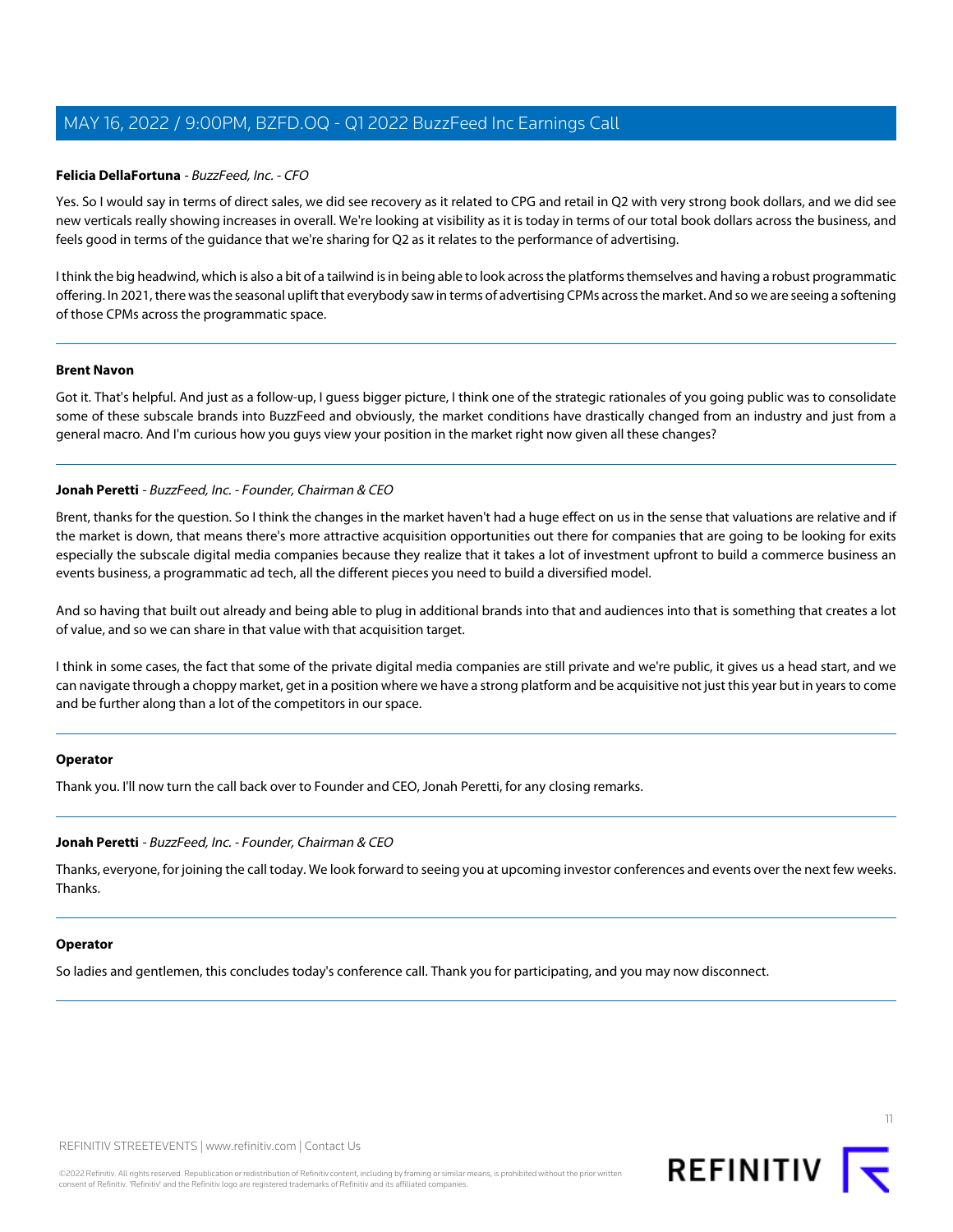### **Felicia DellaFortuna** - BuzzFeed, Inc. - CFO

Yes. So I would say in terms of direct sales, we did see recovery as it related to CPG and retail in Q2 with very strong book dollars, and we did see new verticals really showing increases in overall. We're looking at visibility as it is today in terms of our total book dollars across the business, and feels good in terms of the guidance that we're sharing for Q2 as it relates to the performance of advertising.

I think the big headwind, which is also a bit of a tailwind is in being able to look across the platforms themselves and having a robust programmatic offering. In 2021, there was the seasonal uplift that everybody saw in terms of advertising CPMs across the market. And so we are seeing a softening of those CPMs across the programmatic space.

#### **Brent Navon**

Got it. That's helpful. And just as a follow-up, I guess bigger picture, I think one of the strategic rationales of you going public was to consolidate some of these subscale brands into BuzzFeed and obviously, the market conditions have drastically changed from an industry and just from a general macro. And I'm curious how you guys view your position in the market right now given all these changes?

# **Jonah Peretti** - BuzzFeed, Inc. - Founder, Chairman & CEO

Brent, thanks for the question. So I think the changes in the market haven't had a huge effect on us in the sense that valuations are relative and if the market is down, that means there's more attractive acquisition opportunities out there for companies that are going to be looking for exits especially the subscale digital media companies because they realize that it takes a lot of investment upfront to build a commerce business an events business, a programmatic ad tech, all the different pieces you need to build a diversified model.

And so having that built out already and being able to plug in additional brands into that and audiences into that is something that creates a lot of value, and so we can share in that value with that acquisition target.

I think in some cases, the fact that some of the private digital media companies are still private and we're public, it gives us a head start, and we can navigate through a choppy market, get in a position where we have a strong platform and be acquisitive not just this year but in years to come and be further along than a lot of the competitors in our space.

# **Operator**

Thank you. I'll now turn the call back over to Founder and CEO, Jonah Peretti, for any closing remarks.

#### **Jonah Peretti** - BuzzFeed, Inc. - Founder, Chairman & CEO

Thanks, everyone, for joining the call today. We look forward to seeing you at upcoming investor conferences and events over the next few weeks. Thanks.

#### **Operator**

So ladies and gentlemen, this concludes today's conference call. Thank you for participating, and you may now disconnect.